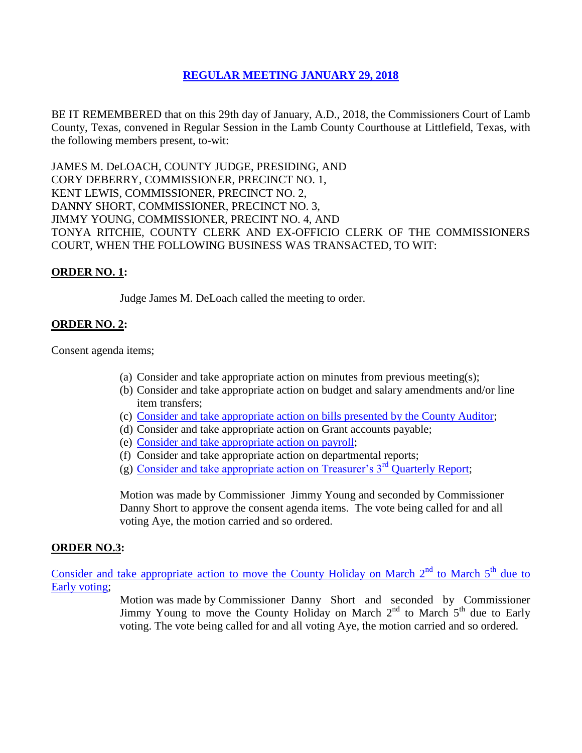# **REGULAR [MEETING JANUARY](Links%202018-01-29-Regular/01%20AGENDA%20-%20JANUARY%2029,%202018.pdf) 29, 2018**

BE IT REMEMBERED that on this 29th day of January, A.D., 2018, the Commissioners Court of Lamb County, Texas, convened in Regular Session in the Lamb County Courthouse at Littlefield, Texas, with the following members present, to-wit:

JAMES M. DeLOACH, COUNTY JUDGE, PRESIDING, AND CORY DEBERRY, COMMISSIONER, PRECINCT NO. 1, KENT LEWIS, COMMISSIONER, PRECINCT NO. 2, DANNY SHORT, COMMISSIONER, PRECINCT NO. 3, JIMMY YOUNG, COMMISSIONER, PRECINT NO. 4, AND TONYA RITCHIE, COUNTY CLERK AND EX-OFFICIO CLERK OF THE COMMISSIONERS COURT, WHEN THE FOLLOWING BUSINESS WAS TRANSACTED, TO WIT:

## **ORDER NO. 1:**

Judge James M. DeLoach called the meeting to order.

# **ORDER NO. 2:**

Consent agenda items;

- (a) Consider and take appropriate action on minutes from previous meeting(s);
- (b) Consider and take appropriate action on budget and salary amendments and/or line item transfers;
- (c) [Consider and take appropriate action on bills presented by the County Auditor;](Links%202018-01-29-Regular/03%20ACCOUNTS%20PAYABLE%20-%20JANUARY%2029,%202018.pdf)
- (d) Consider and take appropriate action on Grant accounts payable;
- (e) [Consider and take appropriate action on payroll;](Links%202018-01-29-Regular/04%20PAYROLL%20PAYABLES%20-%20JANUARY%2029,%202018.pdf)
- (f) Consider and take appropriate action on departmental reports;
- (g) Consider and take appropriate action on Treasurer's  $3<sup>rd</sup>$  Quarterly Report;

Motion was made by Commissioner Jimmy Young and seconded by Commissioner Danny Short to approve the consent agenda items. The vote being called for and all voting Aye, the motion carried and so ordered.

## **ORDER NO.3:**

Consider and take appropriate action to move the County Holiday on March  $2<sup>nd</sup>$  to March  $5<sup>th</sup>$  due to [Early voting;](Links%202018-01-29-Regular/06%20COUNTY%20HOLIDAY%20MARCH%202ND%20TO%20MARCH%205TH%20-%20JANUARY%2029,%202018.pdf)

> Motion was made by Commissioner Danny Short and seconded by Commissioner Jimmy Young to move the County Holiday on March  $2<sup>nd</sup>$  to March  $5<sup>th</sup>$  due to Early voting. The vote being called for and all voting Aye, the motion carried and so ordered.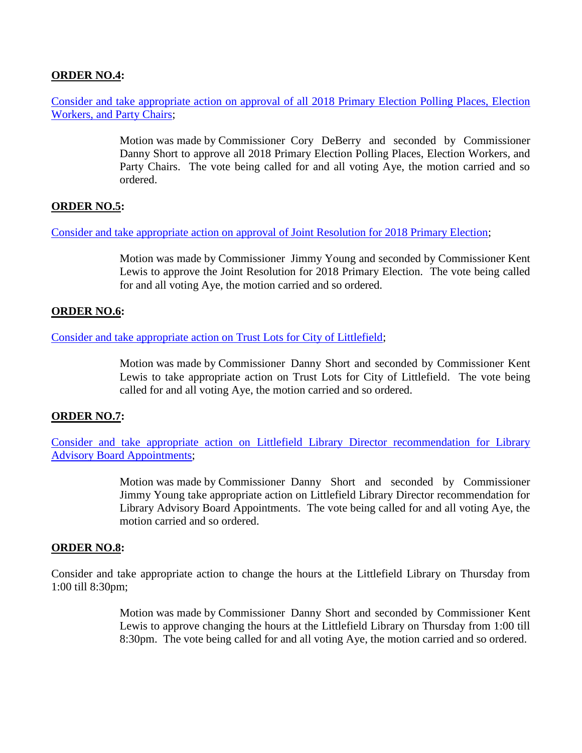# **ORDER NO.4:**

Consider and take appropriate action [on approval of all 2018 Primary Election Polling Places, Election](Links%202018-01-29-Regular/07%202018%20PRIMARY%20ELECTION%20POLLING%20PLACES,%20ELECTION%20WORKERS%20&%20PARTY%20CHAIRS-JANUARY%2029,%202018.pdf)  [Workers, and Party Chairs;](Links%202018-01-29-Regular/07%202018%20PRIMARY%20ELECTION%20POLLING%20PLACES,%20ELECTION%20WORKERS%20&%20PARTY%20CHAIRS-JANUARY%2029,%202018.pdf)

> Motion was made by Commissioner Cory DeBerry and seconded by Commissioner Danny Short to approve all 2018 Primary Election Polling Places, Election Workers, and Party Chairs. The vote being called for and all voting Aye, the motion carried and so ordered.

## **ORDER NO.5:**

Consider and take appropriate action on [approval of Joint Resolution for 2018 Primary Election;](Links%202018-01-29-Regular/08%20JOINT%20RESOLUTION%202018%20PRIMARY%20ELECTION-JANUARY%2029,%202018.pdf)

Motion was made by Commissioner Jimmy Young and seconded by Commissioner Kent Lewis to approve the Joint Resolution for 2018 Primary Election. The vote being called for and all voting Aye, the motion carried and so ordered.

### **ORDER NO.6:**

Consider [and take appropriate action on Trust Lots for City of Littlefield;](Links%202018-01-29-Regular/09%20TRUST%20LOTS%20CITY%20OF%20LITTLEFIELD-JANUARY%2029,%202018.pdf)

Motion was made by Commissioner Danny Short and seconded by Commissioner Kent Lewis to take appropriate action on Trust Lots for City of Littlefield. The vote being called for and all voting Aye, the motion carried and so ordered.

### **ORDER NO.7:**

Consider and take appropriate action on [Littlefield Library Director recommendation for Library](Links%202018-01-29-Regular/10%20LIBRARY%20ADVISORY%20BOARD%20APPOINTMENTS-JANUARY%2029,%202018.pdf)  [Advisory Board Appointments;](Links%202018-01-29-Regular/10%20LIBRARY%20ADVISORY%20BOARD%20APPOINTMENTS-JANUARY%2029,%202018.pdf)

> Motion was made by Commissioner Danny Short and seconded by Commissioner Jimmy Young take appropriate action on Littlefield Library Director recommendation for Library Advisory Board Appointments. The vote being called for and all voting Aye, the motion carried and so ordered.

### **ORDER NO.8:**

Consider and take appropriate action to change the hours at the Littlefield Library on Thursday from 1:00 till 8:30pm;

> Motion was made by Commissioner Danny Short and seconded by Commissioner Kent Lewis to approve changing the hours at the Littlefield Library on Thursday from 1:00 till 8:30pm. The vote being called for and all voting Aye, the motion carried and so ordered.